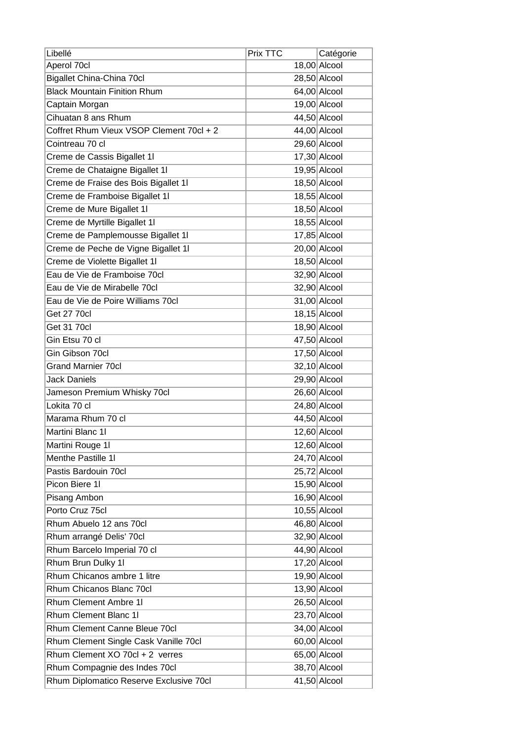| Libellé                                  | Prix TTC | Catégorie      |
|------------------------------------------|----------|----------------|
| Aperol 70cl                              |          | $18,00$ Alcool |
| <b>Bigallet China-China 70cl</b>         |          | $28,50$ Alcool |
| <b>Black Mountain Finition Rhum</b>      |          | 64,00 Alcool   |
| Captain Morgan                           |          | $19,00$ Alcool |
| Cihuatan 8 ans Rhum                      |          | $44,50$ Alcool |
| Coffret Rhum Vieux VSOP Clement 70cl + 2 |          | 44,00 Alcool   |
| Cointreau 70 cl                          |          | 29,60 Alcool   |
| Creme de Cassis Bigallet 11              |          | $17,30$ Alcool |
| Creme de Chataigne Bigallet 1l           |          | $19,95$ Alcool |
| Creme de Fraise des Bois Bigallet 11     |          | $18,50$ Alcool |
| Creme de Framboise Bigallet 1I           |          | $18,55$ Alcool |
| Creme de Mure Bigallet 1l                |          | $18,50$ Alcool |
| Creme de Myrtille Bigallet 11            |          | $18,55$ Alcool |
| Creme de Pamplemousse Bigallet 11        |          | $17,85$ Alcool |
| Creme de Peche de Vigne Bigallet 11      |          | $20,00$ Alcool |
| Creme de Violette Bigallet 11            |          | $18,50$ Alcool |
| Eau de Vie de Framboise 70cl             |          | 32,90 Alcool   |
| Eau de Vie de Mirabelle 70cl             |          | 32,90 Alcool   |
| Eau de Vie de Poire Williams 70cl        |          | $31,00$ Alcool |
| <b>Get 27 70cl</b>                       |          | $18,15$ Alcool |
| <b>Get 31 70cl</b>                       |          | 18,90 Alcool   |
| Gin Etsu 70 cl                           |          | $47,50$ Alcool |
| Gin Gibson 70cl                          |          | $17,50$ Alcool |
| <b>Grand Marnier 70cl</b>                |          | $32,10$ Alcool |
| <b>Jack Daniels</b>                      |          | 29,90 Alcool   |
| Jameson Premium Whisky 70cl              |          | 26,60 Alcool   |
| Lokita 70 cl                             |          | 24,80 Alcool   |
| Marama Rhum 70 cl                        |          | $44,50$ Alcool |
| Martini Blanc 1I                         |          | $12,60$ Alcool |
| Martini Rouge 1I                         |          | $12,60$ Alcool |
| Menthe Pastille 11                       |          | $24,70$ Alcool |
| Pastis Bardouin 70cl                     |          | $25,72$ Alcool |
| Picon Biere 1I                           |          | $15,90$ Alcool |
| Pisang Ambon                             |          | 16,90 Alcool   |
| Porto Cruz 75cl                          |          | $10,55$ Alcool |
| Rhum Abuelo 12 ans 70cl                  |          | $46,80$ Alcool |
| Rhum arrangé Delis' 70cl                 |          | $32,90$ Alcool |
| Rhum Barcelo Imperial 70 cl              |          | 44,90 Alcool   |
| Rhum Brun Dulky 11                       |          | $17,20$ Alcool |
| Rhum Chicanos ambre 1 litre              |          | $19,90$ Alcool |
| Rhum Chicanos Blanc 70cl                 |          | $13,90$ Alcool |
| Rhum Clement Ambre 1I                    |          | $26,50$ Alcool |
| Rhum Clement Blanc 1I                    |          | $23,70$ Alcool |
| Rhum Clement Canne Bleue 70cl            |          | $34,00$ Alcool |
| Rhum Clement Single Cask Vanille 70cl    |          | $60,00$ Alcool |
| Rhum Clement XO 70cl + 2 verres          |          | $65,00$ Alcool |
| Rhum Compagnie des Indes 70cl            |          | $38,70$ Alcool |
| Rhum Diplomatico Reserve Exclusive 70cl  |          | $41,50$ Alcool |
|                                          |          |                |